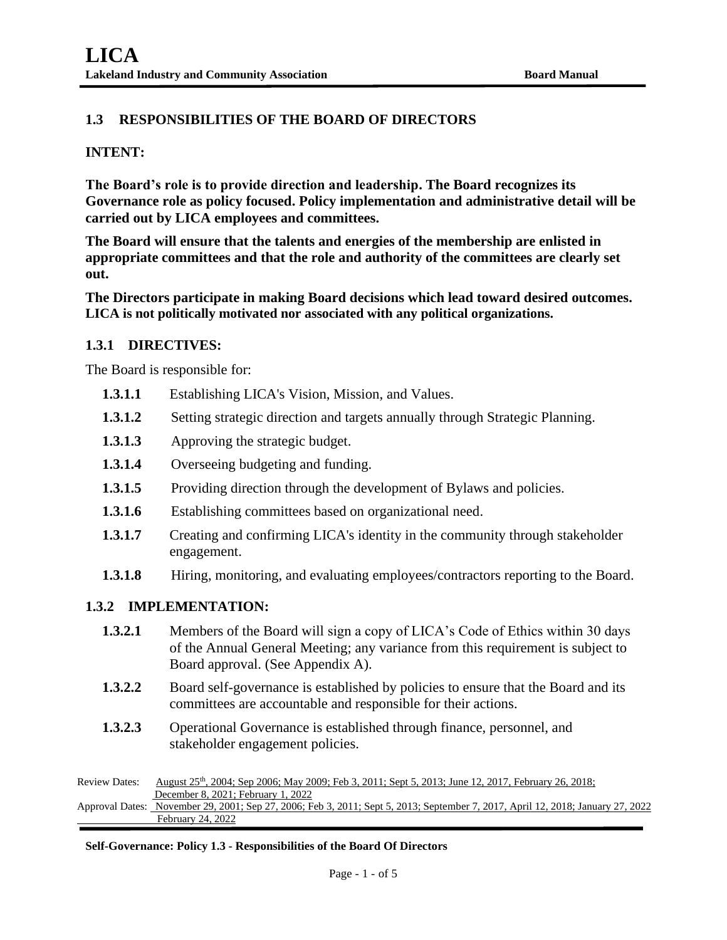# **1.3 RESPONSIBILITIES OF THE BOARD OF DIRECTORS**

# **INTENT:**

**The Board's role is to provide direction and leadership. The Board recognizes its Governance role as policy focused. Policy implementation and administrative detail will be carried out by LICA employees and committees.**

**The Board will ensure that the talents and energies of the membership are enlisted in appropriate committees and that the role and authority of the committees are clearly set out.** 

**The Directors participate in making Board decisions which lead toward desired outcomes. LICA is not politically motivated nor associated with any political organizations.**

# **1.3.1 DIRECTIVES:**

The Board is responsible for:

- **1.3.1.1** Establishing LICA's Vision, Mission, and Values.
- **1.3.1.2** Setting strategic direction and targets annually through Strategic Planning.
- **1.3.1.3** Approving the strategic budget.
- **1.3.1.4** Overseeing budgeting and funding.
- **1.3.1.5** Providing direction through the development of Bylaws and policies.
- **1.3.1.6** Establishing committees based on organizational need.
- **1.3.1.7** Creating and confirming LICA's identity in the community through stakeholder engagement.
- **1.3.1.8** Hiring, monitoring, and evaluating employees/contractors reporting to the Board.

### **1.3.2 IMPLEMENTATION:**

| 1.3.2.1 | Members of the Board will sign a copy of LICA's Code of Ethics within 30 days   |
|---------|---------------------------------------------------------------------------------|
|         | of the Annual General Meeting; any variance from this requirement is subject to |
|         | Board approval. (See Appendix A).                                               |

- **1.3.2.2** Board self-governance is established by policies to ensure that the Board and its committees are accountable and responsible for their actions.
- **1.3.2.3** Operational Governance is established through finance, personnel, and stakeholder engagement policies.

Review Dates: August 25<sup>th</sup>, 2004; Sep 2006; May 2009; Feb 3, 2011; Sept 5, 2013; June 12, 2017, February 26, 2018; December 8, 2021; February 1, 2022 Approval Dates: November 29, 2001; Sep 27, 2006; Feb 3, 2011; Sept 5, 2013; September 7, 2017, April 12, 2018; January 27, 2022 February 24, 2022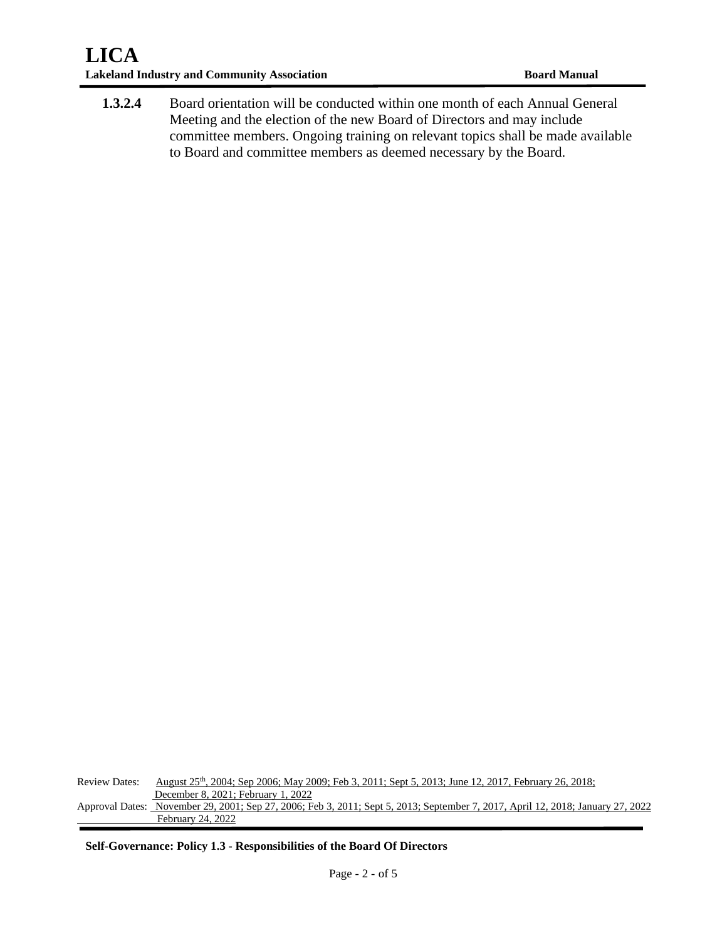**1.3.2.4** Board orientation will be conducted within one month of each Annual General Meeting and the election of the new Board of Directors and may include committee members. Ongoing training on relevant topics shall be made available to Board and committee members as deemed necessary by the Board.

Review Dates: August 25<sup>th</sup>, 2004; Sep 2006; May 2009; Feb 3, 2011; Sept 5, 2013; June 12, 2017, February 26, 2018; December 8, 2021; February 1, 2022 Approval Dates: November 29, 2001; Sep 27, 2006; Feb 3, 2011; Sept 5, 2013; September 7, 2017, April 12, 2018; January 27, 2022 February 24, 2022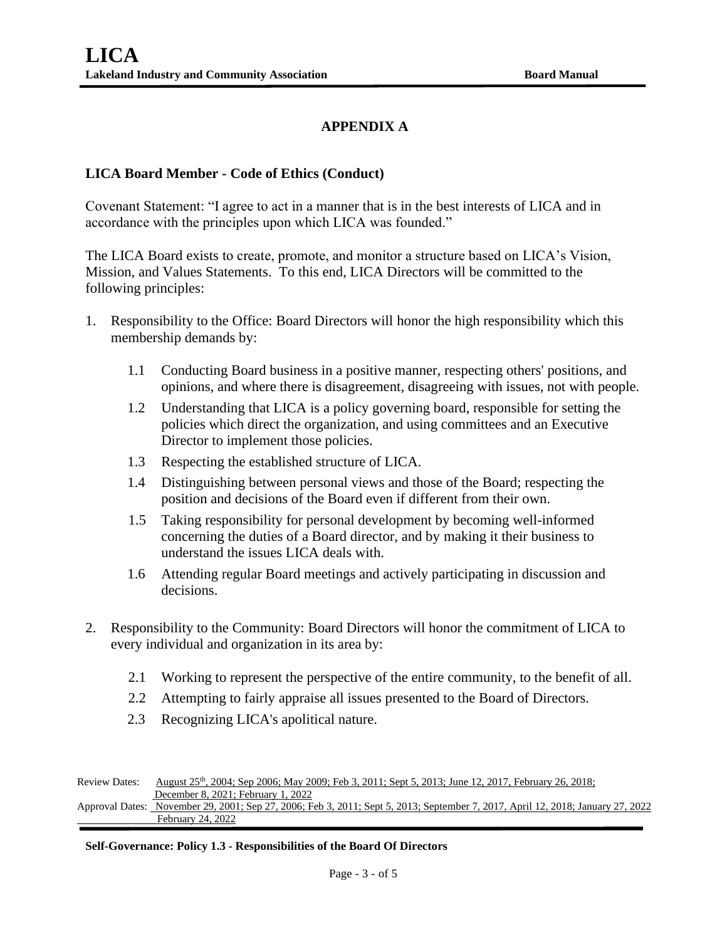# **APPENDIX A**

# **LICA Board Member - Code of Ethics (Conduct)**

Covenant Statement: "I agree to act in a manner that is in the best interests of LICA and in accordance with the principles upon which LICA was founded."

The LICA Board exists to create, promote, and monitor a structure based on LICA's Vision, Mission, and Values Statements. To this end, LICA Directors will be committed to the following principles:

- 1. Responsibility to the Office: Board Directors will honor the high responsibility which this membership demands by:
	- 1.1 Conducting Board business in a positive manner, respecting others' positions, and opinions, and where there is disagreement, disagreeing with issues, not with people.
	- 1.2 Understanding that LICA is a policy governing board, responsible for setting the policies which direct the organization, and using committees and an Executive Director to implement those policies.
	- 1.3 Respecting the established structure of LICA.
	- 1.4 Distinguishing between personal views and those of the Board; respecting the position and decisions of the Board even if different from their own.
	- 1.5 Taking responsibility for personal development by becoming well-informed concerning the duties of a Board director, and by making it their business to understand the issues LICA deals with.
	- 1.6 Attending regular Board meetings and actively participating in discussion and decisions.
- 2. Responsibility to the Community: Board Directors will honor the commitment of LICA to every individual and organization in its area by:
	- 2.1 Working to represent the perspective of the entire community, to the benefit of all.
	- 2.2 Attempting to fairly appraise all issues presented to the Board of Directors.
	- 2.3 Recognizing LICA's apolitical nature.

Review Dates: August 25<sup>th</sup>, 2004; Sep 2006; May 2009; Feb 3, 2011; Sept 5, 2013; June 12, 2017, February 26, 2018; December 8, 2021; February 1, 2022 Approval Dates: November 29, 2001; Sep 27, 2006; Feb 3, 2011; Sept 5, 2013; September 7, 2017, April 12, 2018; January 27, 2022

February 24, 2022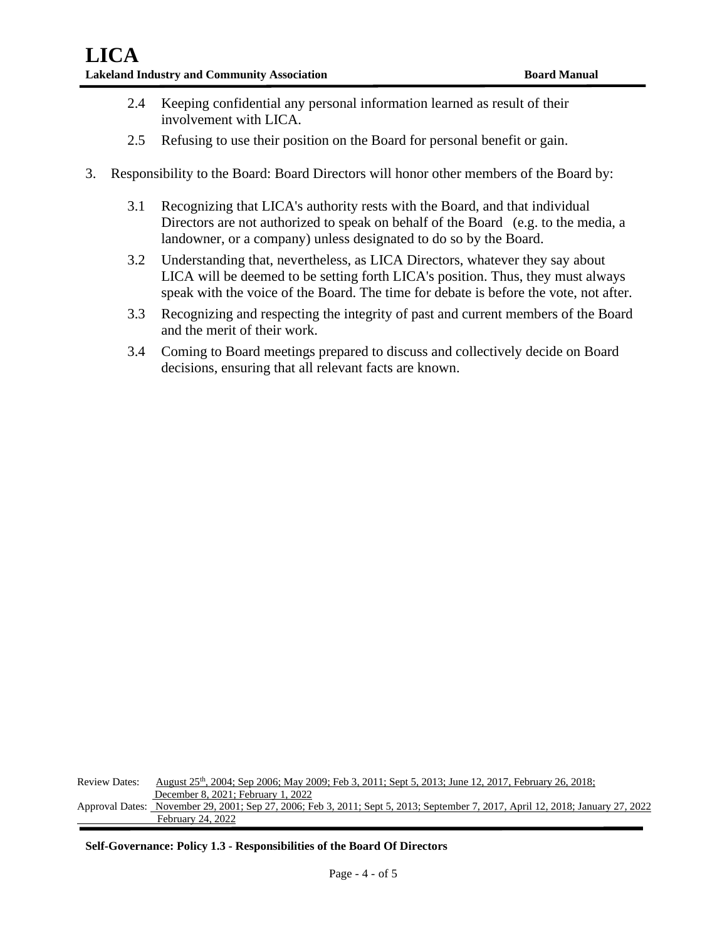- 2.4 Keeping confidential any personal information learned as result of their involvement with LICA.
- 2.5 Refusing to use their position on the Board for personal benefit or gain.
- 3. Responsibility to the Board: Board Directors will honor other members of the Board by:
	- 3.1 Recognizing that LICA's authority rests with the Board, and that individual Directors are not authorized to speak on behalf of the Board (e.g. to the media, a landowner, or a company) unless designated to do so by the Board.
	- 3.2 Understanding that, nevertheless, as LICA Directors, whatever they say about LICA will be deemed to be setting forth LICA's position. Thus, they must always speak with the voice of the Board. The time for debate is before the vote, not after.
	- 3.3 Recognizing and respecting the integrity of past and current members of the Board and the merit of their work.
	- 3.4 Coming to Board meetings prepared to discuss and collectively decide on Board decisions, ensuring that all relevant facts are known.

Review Dates: August 25<sup>th</sup>, 2004; Sep 2006; May 2009; Feb 3, 2011; Sept 5, 2013; June 12, 2017, February 26, 2018; December 8, 2021; February 1, 2022 Approval Dates: November 29, 2001; Sep 27, 2006; Feb 3, 2011; Sept 5, 2013; September 7, 2017, April 12, 2018; January 27, 2022 February 24, 2022